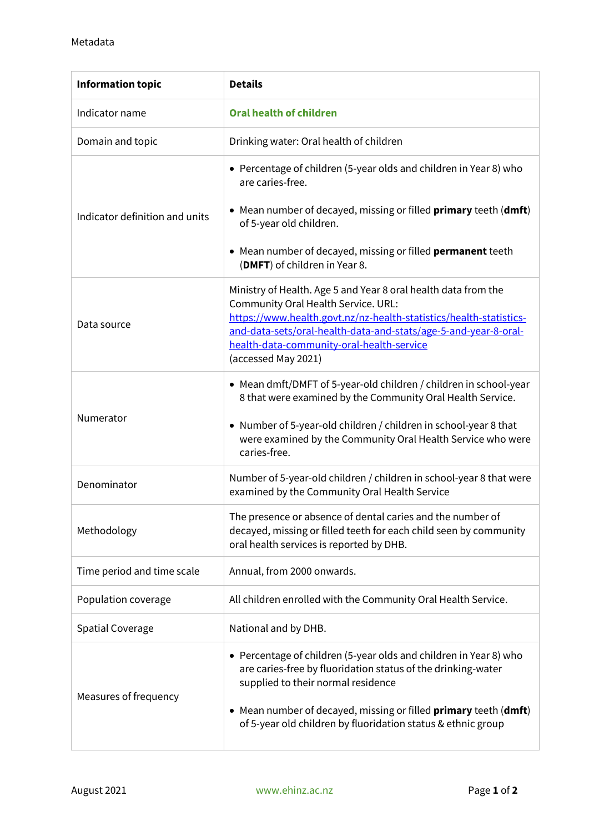| <b>Information topic</b>       | <b>Details</b>                                                                                                                                                                                                                                                                                                     |
|--------------------------------|--------------------------------------------------------------------------------------------------------------------------------------------------------------------------------------------------------------------------------------------------------------------------------------------------------------------|
| Indicator name                 | <b>Oral health of children</b>                                                                                                                                                                                                                                                                                     |
| Domain and topic               | Drinking water: Oral health of children                                                                                                                                                                                                                                                                            |
| Indicator definition and units | • Percentage of children (5-year olds and children in Year 8) who<br>are caries-free.                                                                                                                                                                                                                              |
|                                | • Mean number of decayed, missing or filled <b>primary</b> teeth (dmft)<br>of 5-year old children.                                                                                                                                                                                                                 |
|                                | • Mean number of decayed, missing or filled <b>permanent</b> teeth<br>(DMFT) of children in Year 8.                                                                                                                                                                                                                |
| Data source                    | Ministry of Health. Age 5 and Year 8 oral health data from the<br>Community Oral Health Service. URL:<br>https://www.health.govt.nz/nz-health-statistics/health-statistics-<br>and-data-sets/oral-health-data-and-stats/age-5-and-year-8-oral-<br>health-data-community-oral-health-service<br>(accessed May 2021) |
| Numerator                      | • Mean dmft/DMFT of 5-year-old children / children in school-year<br>8 that were examined by the Community Oral Health Service.                                                                                                                                                                                    |
|                                | • Number of 5-year-old children / children in school-year 8 that<br>were examined by the Community Oral Health Service who were<br>caries-free.                                                                                                                                                                    |
| Denominator                    | Number of 5-year-old children / children in school-year 8 that were<br>examined by the Community Oral Health Service                                                                                                                                                                                               |
| Methodology                    | The presence or absence of dental caries and the number of<br>decayed, missing or filled teeth for each child seen by community<br>oral health services is reported by DHB.                                                                                                                                        |
| Time period and time scale     | Annual, from 2000 onwards.                                                                                                                                                                                                                                                                                         |
| Population coverage            | All children enrolled with the Community Oral Health Service.                                                                                                                                                                                                                                                      |
| <b>Spatial Coverage</b>        | National and by DHB.                                                                                                                                                                                                                                                                                               |
| Measures of frequency          | • Percentage of children (5-year olds and children in Year 8) who<br>are caries-free by fluoridation status of the drinking-water<br>supplied to their normal residence                                                                                                                                            |
|                                | Mean number of decayed, missing or filled <b>primary</b> teeth (dmft)<br>٠<br>of 5-year old children by fluoridation status & ethnic group                                                                                                                                                                         |